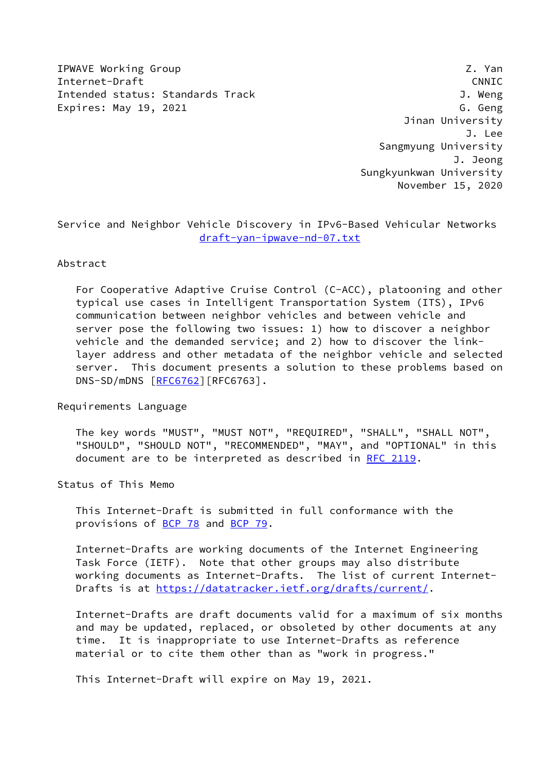IPWAVE Working Group **Z. Yan** Internet-Draft CNNIC Intended status: Standards Track J. Weng Expires: May 19, 2021 G. Geng

 Jinan University J. Lee Sangmyung University J. Jeong Sungkyunkwan University November 15, 2020

Service and Neighbor Vehicle Discovery in IPv6-Based Vehicular Networks [draft-yan-ipwave-nd-07.txt](https://datatracker.ietf.org/doc/pdf/draft-yan-ipwave-nd-07.txt)

#### Abstract

 For Cooperative Adaptive Cruise Control (C-ACC), platooning and other typical use cases in Intelligent Transportation System (ITS), IPv6 communication between neighbor vehicles and between vehicle and server pose the following two issues: 1) how to discover a neighbor vehicle and the demanded service; and 2) how to discover the link layer address and other metadata of the neighbor vehicle and selected server. This document presents a solution to these problems based on DNS-SD/mDNS [\[RFC6762](https://datatracker.ietf.org/doc/pdf/rfc6762)][RFC6763].

Requirements Language

 The key words "MUST", "MUST NOT", "REQUIRED", "SHALL", "SHALL NOT", "SHOULD", "SHOULD NOT", "RECOMMENDED", "MAY", and "OPTIONAL" in this document are to be interpreted as described in [RFC 2119.](https://datatracker.ietf.org/doc/pdf/rfc2119)

Status of This Memo

 This Internet-Draft is submitted in full conformance with the provisions of [BCP 78](https://datatracker.ietf.org/doc/pdf/bcp78) and [BCP 79](https://datatracker.ietf.org/doc/pdf/bcp79).

 Internet-Drafts are working documents of the Internet Engineering Task Force (IETF). Note that other groups may also distribute working documents as Internet-Drafts. The list of current Internet Drafts is at<https://datatracker.ietf.org/drafts/current/>.

 Internet-Drafts are draft documents valid for a maximum of six months and may be updated, replaced, or obsoleted by other documents at any time. It is inappropriate to use Internet-Drafts as reference material or to cite them other than as "work in progress."

This Internet-Draft will expire on May 19, 2021.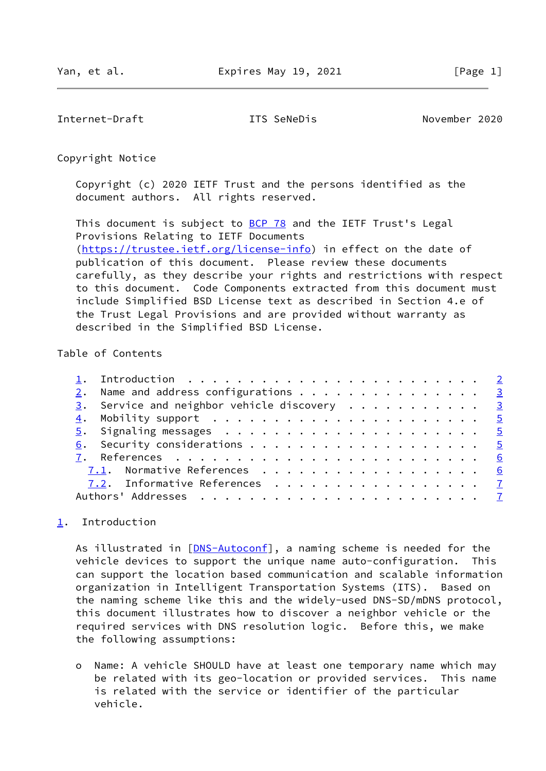<span id="page-1-1"></span>Internet-Draft ITS SeNeDis November 2020

Copyright Notice

 Copyright (c) 2020 IETF Trust and the persons identified as the document authors. All rights reserved.

This document is subject to **[BCP 78](https://datatracker.ietf.org/doc/pdf/bcp78)** and the IETF Trust's Legal Provisions Relating to IETF Documents [\(https://trustee.ietf.org/license-info](https://trustee.ietf.org/license-info)) in effect on the date of publication of this document. Please review these documents carefully, as they describe your rights and restrictions with respect to this document. Code Components extracted from this document must include Simplified BSD License text as described in Section 4.e of the Trust Legal Provisions and are provided without warranty as described in the Simplified BSD License.

### Table of Contents

| 2. Name and address configurations 3                     |  |
|----------------------------------------------------------|--|
| $\frac{3}{2}$ . Service and neighbor vehicle discovery 3 |  |
|                                                          |  |
|                                                          |  |
|                                                          |  |
|                                                          |  |
| 7.1. Normative References 6                              |  |
| 7.2. Informative References 7                            |  |
|                                                          |  |

# <span id="page-1-0"></span>[1](#page-1-0). Introduction

As illustrated in [[DNS-Autoconf\]](#page-6-2), a naming scheme is needed for the vehicle devices to support the unique name auto-configuration. This can support the location based communication and scalable information organization in Intelligent Transportation Systems (ITS). Based on the naming scheme like this and the widely-used DNS-SD/mDNS protocol, this document illustrates how to discover a neighbor vehicle or the required services with DNS resolution logic. Before this, we make the following assumptions:

 o Name: A vehicle SHOULD have at least one temporary name which may be related with its geo-location or provided services. This name is related with the service or identifier of the particular vehicle.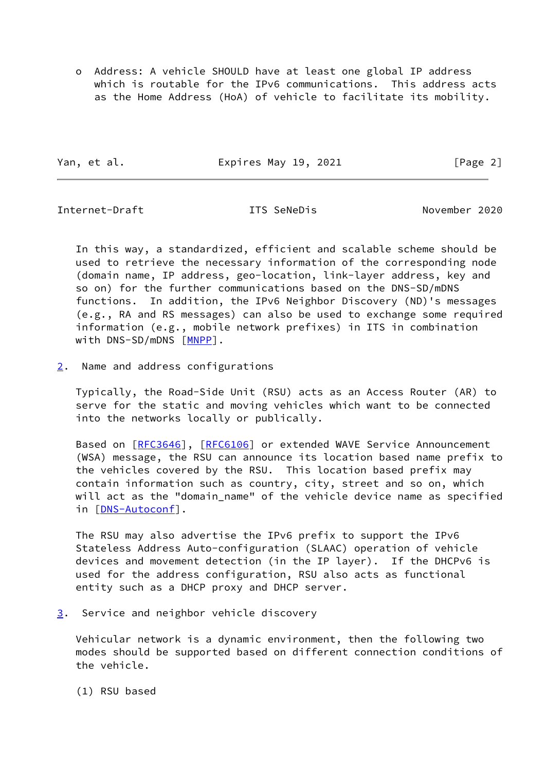o Address: A vehicle SHOULD have at least one global IP address which is routable for the IPv6 communications. This address acts as the Home Address (HoA) of vehicle to facilitate its mobility.

Yan, et al. **Expires May 19, 2021** [Page 2]

<span id="page-2-1"></span>Internet-Draft ITS SeNeDis November 2020

 In this way, a standardized, efficient and scalable scheme should be used to retrieve the necessary information of the corresponding node (domain name, IP address, geo-location, link-layer address, key and so on) for the further communications based on the DNS-SD/mDNS functions. In addition, the IPv6 Neighbor Discovery (ND)'s messages (e.g., RA and RS messages) can also be used to exchange some required information (e.g., mobile network prefixes) in ITS in combination with DNS-SD/mDNS [\[MNPP](#page-7-0)].

<span id="page-2-0"></span>[2](#page-2-0). Name and address configurations

 Typically, the Road-Side Unit (RSU) acts as an Access Router (AR) to serve for the static and moving vehicles which want to be connected into the networks locally or publically.

Based on [\[RFC3646](https://datatracker.ietf.org/doc/pdf/rfc3646)], [\[RFC6106](https://datatracker.ietf.org/doc/pdf/rfc6106)] or extended WAVE Service Announcement (WSA) message, the RSU can announce its location based name prefix to the vehicles covered by the RSU. This location based prefix may contain information such as country, city, street and so on, which will act as the "domain\_name" of the vehicle device name as specified in [[DNS-Autoconf\]](#page-6-2).

 The RSU may also advertise the IPv6 prefix to support the IPv6 Stateless Address Auto-configuration (SLAAC) operation of vehicle devices and movement detection (in the IP layer). If the DHCPv6 is used for the address configuration, RSU also acts as functional entity such as a DHCP proxy and DHCP server.

<span id="page-2-2"></span>[3](#page-2-2). Service and neighbor vehicle discovery

 Vehicular network is a dynamic environment, then the following two modes should be supported based on different connection conditions of the vehicle.

(1) RSU based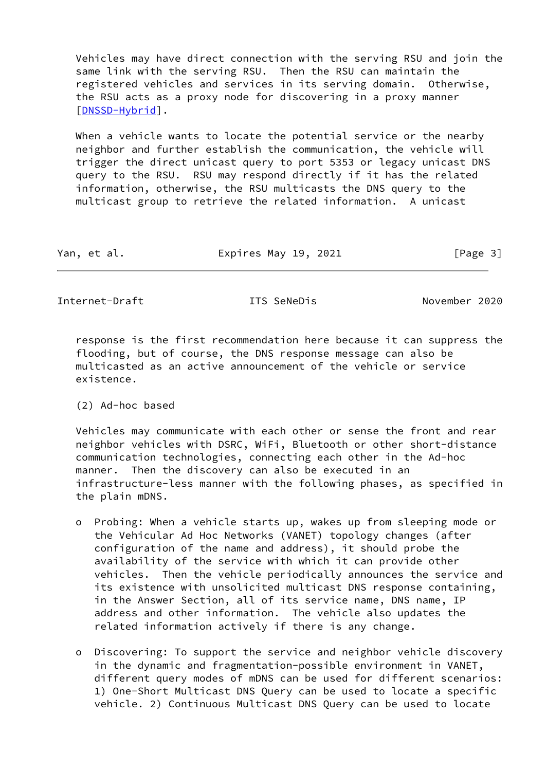Vehicles may have direct connection with the serving RSU and join the same link with the serving RSU. Then the RSU can maintain the registered vehicles and services in its serving domain. Otherwise, the RSU acts as a proxy node for discovering in a proxy manner [\[DNSSD-Hybrid](#page-7-1)].

 When a vehicle wants to locate the potential service or the nearby neighbor and further establish the communication, the vehicle will trigger the direct unicast query to port 5353 or legacy unicast DNS query to the RSU. RSU may respond directly if it has the related information, otherwise, the RSU multicasts the DNS query to the multicast group to retrieve the related information. A unicast

| Yan, et al. | Expires May 19, 2021 | [Page 3] |
|-------------|----------------------|----------|
|-------------|----------------------|----------|

Internet-Draft ITS SeNeDis November 2020

 response is the first recommendation here because it can suppress the flooding, but of course, the DNS response message can also be multicasted as an active announcement of the vehicle or service existence.

(2) Ad-hoc based

 Vehicles may communicate with each other or sense the front and rear neighbor vehicles with DSRC, WiFi, Bluetooth or other short-distance communication technologies, connecting each other in the Ad-hoc manner. Then the discovery can also be executed in an infrastructure-less manner with the following phases, as specified in the plain mDNS.

- o Probing: When a vehicle starts up, wakes up from sleeping mode or the Vehicular Ad Hoc Networks (VANET) topology changes (after configuration of the name and address), it should probe the availability of the service with which it can provide other vehicles. Then the vehicle periodically announces the service and its existence with unsolicited multicast DNS response containing, in the Answer Section, all of its service name, DNS name, IP address and other information. The vehicle also updates the related information actively if there is any change.
- o Discovering: To support the service and neighbor vehicle discovery in the dynamic and fragmentation-possible environment in VANET, different query modes of mDNS can be used for different scenarios: 1) One-Short Multicast DNS Query can be used to locate a specific vehicle. 2) Continuous Multicast DNS Query can be used to locate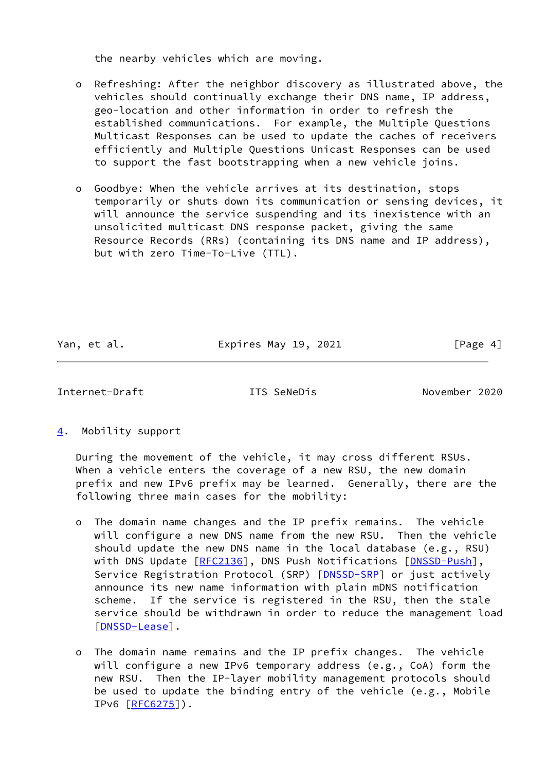the nearby vehicles which are moving.

 o Refreshing: After the neighbor discovery as illustrated above, the vehicles should continually exchange their DNS name, IP address, geo-location and other information in order to refresh the established communications. For example, the Multiple Questions Multicast Responses can be used to update the caches of receivers efficiently and Multiple Questions Unicast Responses can be used to support the fast bootstrapping when a new vehicle joins.

 o Goodbye: When the vehicle arrives at its destination, stops temporarily or shuts down its communication or sensing devices, it will announce the service suspending and its inexistence with an unsolicited multicast DNS response packet, giving the same Resource Records (RRs) (containing its DNS name and IP address), but with zero Time-To-Live (TTL).

Yan, et al. **Expires May 19, 2021** [Page 4]

<span id="page-4-1"></span>Internet-Draft ITS SeNeDis November 2020

<span id="page-4-0"></span>[4](#page-4-0). Mobility support

 During the movement of the vehicle, it may cross different RSUs. When a vehicle enters the coverage of a new RSU, the new domain prefix and new IPv6 prefix may be learned. Generally, there are the following three main cases for the mobility:

- o The domain name changes and the IP prefix remains. The vehicle will configure a new DNS name from the new RSU. Then the vehicle should update the new DNS name in the local database (e.g., RSU) with DNS Update [[RFC2136\]](https://datatracker.ietf.org/doc/pdf/rfc2136), DNS Push Notifications [\[DNSSD-Push\]](#page-7-2), Service Registration Protocol (SRP) [\[DNSSD-SRP](#page-7-3)] or just actively announce its new name information with plain mDNS notification scheme. If the service is registered in the RSU, then the stale service should be withdrawn in order to reduce the management load [[DNSSD-Lease\]](#page-7-4).
- o The domain name remains and the IP prefix changes. The vehicle will configure a new IPv6 temporary address (e.g., CoA) form the new RSU. Then the IP-layer mobility management protocols should be used to update the binding entry of the vehicle (e.g., Mobile IPv6 [\[RFC6275](https://datatracker.ietf.org/doc/pdf/rfc6275)]).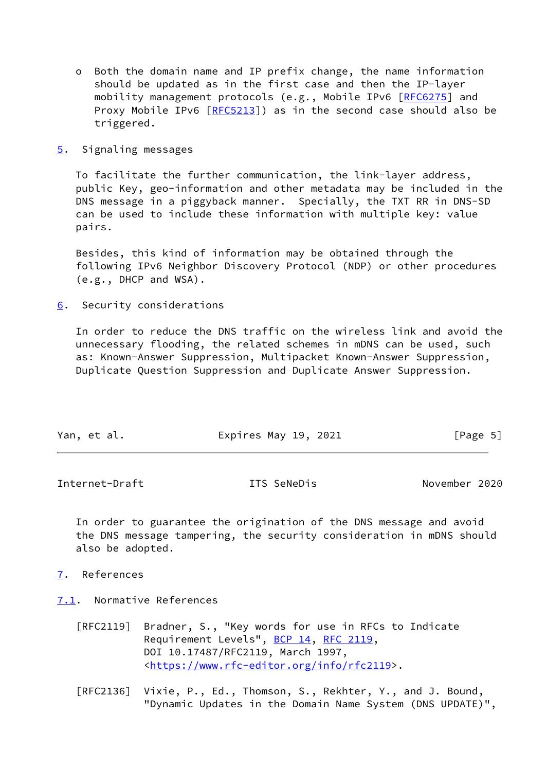- o Both the domain name and IP prefix change, the name information should be updated as in the first case and then the IP-layer mobility management protocols (e.g., Mobile IPv6 [\[RFC6275](https://datatracker.ietf.org/doc/pdf/rfc6275)] and Proxy Mobile IPv6 [\[RFC5213](https://datatracker.ietf.org/doc/pdf/rfc5213)]) as in the second case should also be triggered.
- <span id="page-5-0"></span>[5](#page-5-0). Signaling messages

 To facilitate the further communication, the link-layer address, public Key, geo-information and other metadata may be included in the DNS message in a piggyback manner. Specially, the TXT RR in DNS-SD can be used to include these information with multiple key: value pairs.

 Besides, this kind of information may be obtained through the following IPv6 Neighbor Discovery Protocol (NDP) or other procedures (e.g., DHCP and WSA).

<span id="page-5-1"></span>[6](#page-5-1). Security considerations

 In order to reduce the DNS traffic on the wireless link and avoid the unnecessary flooding, the related schemes in mDNS can be used, such as: Known-Answer Suppression, Multipacket Known-Answer Suppression, Duplicate Question Suppression and Duplicate Answer Suppression.

| Yan, et al.<br>Expires May 19, 2021 | [Page 5] |
|-------------------------------------|----------|
|-------------------------------------|----------|

<span id="page-5-3"></span>Internet-Draft ITS SeNeDis November 2020

 In order to guarantee the origination of the DNS message and avoid the DNS message tampering, the security consideration in mDNS should also be adopted.

<span id="page-5-2"></span>[7](#page-5-2). References

<span id="page-5-4"></span>[7.1](#page-5-4). Normative References

- [RFC2119] Bradner, S., "Key words for use in RFCs to Indicate Requirement Levels", [BCP 14](https://datatracker.ietf.org/doc/pdf/bcp14), [RFC 2119](https://datatracker.ietf.org/doc/pdf/rfc2119), DOI 10.17487/RFC2119, March 1997, <[https://www.rfc-editor.org/info/rfc2119>](https://www.rfc-editor.org/info/rfc2119).
- [RFC2136] Vixie, P., Ed., Thomson, S., Rekhter, Y., and J. Bound, "Dynamic Updates in the Domain Name System (DNS UPDATE)",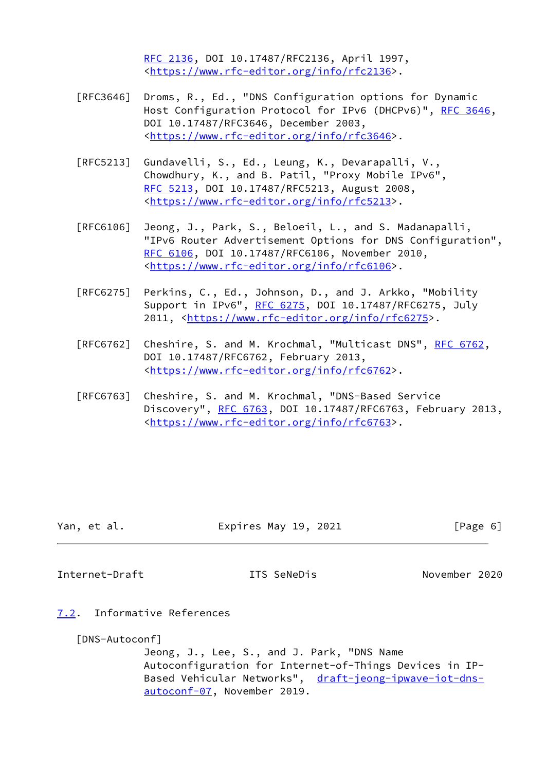[RFC 2136,](https://datatracker.ietf.org/doc/pdf/rfc2136) DOI 10.17487/RFC2136, April 1997, <[https://www.rfc-editor.org/info/rfc2136>](https://www.rfc-editor.org/info/rfc2136).

- [RFC3646] Droms, R., Ed., "DNS Configuration options for Dynamic Host Configuration Protocol for IPv6 (DHCPv6)", [RFC 3646,](https://datatracker.ietf.org/doc/pdf/rfc3646) DOI 10.17487/RFC3646, December 2003, <[https://www.rfc-editor.org/info/rfc3646>](https://www.rfc-editor.org/info/rfc3646).
- [RFC5213] Gundavelli, S., Ed., Leung, K., Devarapalli, V., Chowdhury, K., and B. Patil, "Proxy Mobile IPv6", [RFC 5213,](https://datatracker.ietf.org/doc/pdf/rfc5213) DOI 10.17487/RFC5213, August 2008, <[https://www.rfc-editor.org/info/rfc5213>](https://www.rfc-editor.org/info/rfc5213).
- [RFC6106] Jeong, J., Park, S., Beloeil, L., and S. Madanapalli, "IPv6 Router Advertisement Options for DNS Configuration", [RFC 6106,](https://datatracker.ietf.org/doc/pdf/rfc6106) DOI 10.17487/RFC6106, November 2010, <[https://www.rfc-editor.org/info/rfc6106>](https://www.rfc-editor.org/info/rfc6106).
- [RFC6275] Perkins, C., Ed., Johnson, D., and J. Arkko, "Mobility Support in IPv6", [RFC 6275](https://datatracker.ietf.org/doc/pdf/rfc6275), DOI 10.17487/RFC6275, July 2011, [<https://www.rfc-editor.org/info/rfc6275](https://www.rfc-editor.org/info/rfc6275)>.
- [RFC6762] Cheshire, S. and M. Krochmal, "Multicast DNS", [RFC 6762](https://datatracker.ietf.org/doc/pdf/rfc6762), DOI 10.17487/RFC6762, February 2013, <[https://www.rfc-editor.org/info/rfc6762>](https://www.rfc-editor.org/info/rfc6762).
- [RFC6763] Cheshire, S. and M. Krochmal, "DNS-Based Service Discovery", [RFC 6763,](https://datatracker.ietf.org/doc/pdf/rfc6763) DOI 10.17487/RFC6763, February 2013, <[https://www.rfc-editor.org/info/rfc6763>](https://www.rfc-editor.org/info/rfc6763).

| Yan, et al. | Expires May 19, 2021 | [Page 6] |
|-------------|----------------------|----------|
|             |                      |          |

<span id="page-6-1"></span>Internet-Draft ITS SeNeDis November 2020

<span id="page-6-0"></span>[7.2](#page-6-0). Informative References

<span id="page-6-2"></span>[DNS-Autoconf]

 Jeong, J., Lee, S., and J. Park, "DNS Name Autoconfiguration for Internet-of-Things Devices in IP Based Vehicular Networks", [draft-jeong-ipwave-iot-dns](https://datatracker.ietf.org/doc/pdf/draft-jeong-ipwave-iot-dns-autoconf-07) [autoconf-07](https://datatracker.ietf.org/doc/pdf/draft-jeong-ipwave-iot-dns-autoconf-07), November 2019.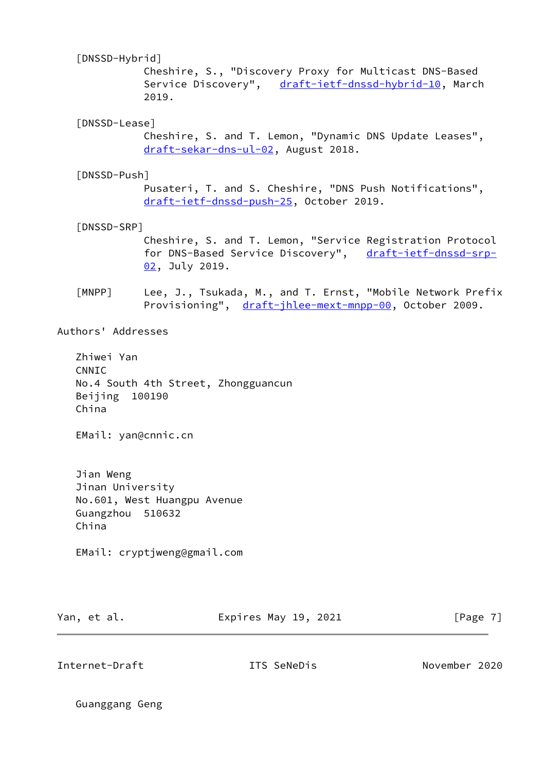# <span id="page-7-1"></span>[DNSSD-Hybrid]

 Cheshire, S., "Discovery Proxy for Multicast DNS-Based Service Discovery", [draft-ietf-dnssd-hybrid-10,](https://datatracker.ietf.org/doc/pdf/draft-ietf-dnssd-hybrid-10) March 2019.

# <span id="page-7-4"></span>[DNSSD-Lease]

 Cheshire, S. and T. Lemon, "Dynamic DNS Update Leases", [draft-sekar-dns-ul-02,](https://datatracker.ietf.org/doc/pdf/draft-sekar-dns-ul-02) August 2018.

### <span id="page-7-2"></span>[DNSSD-Push]

 Pusateri, T. and S. Cheshire, "DNS Push Notifications", [draft-ietf-dnssd-push-25,](https://datatracker.ietf.org/doc/pdf/draft-ietf-dnssd-push-25) October 2019.

#### <span id="page-7-3"></span>[DNSSD-SRP]

 Cheshire, S. and T. Lemon, "Service Registration Protocol for DNS-Based Service Discovery", [draft-ietf-dnssd-srp-](https://datatracker.ietf.org/doc/pdf/draft-ietf-dnssd-srp-02) [02,](https://datatracker.ietf.org/doc/pdf/draft-ietf-dnssd-srp-02) July 2019.

<span id="page-7-0"></span> [MNPP] Lee, J., Tsukada, M., and T. Ernst, "Mobile Network Prefix Provisioning", [draft-jhlee-mext-mnpp-00,](https://datatracker.ietf.org/doc/pdf/draft-jhlee-mext-mnpp-00) October 2009.

#### Authors' Addresses

 Zhiwei Yan CNNIC No.4 South 4th Street, Zhongguancun Beijing 100190 China

EMail: yan@cnnic.cn

 Jian Weng Jinan University No.601, West Huangpu Avenue Guangzhou 510632 China

EMail: cryptjweng@gmail.com

Yan, et al. **Expires May 19, 2021** [Page 7]

Internet-Draft ITS SeNeDis November 2020

Guanggang Geng